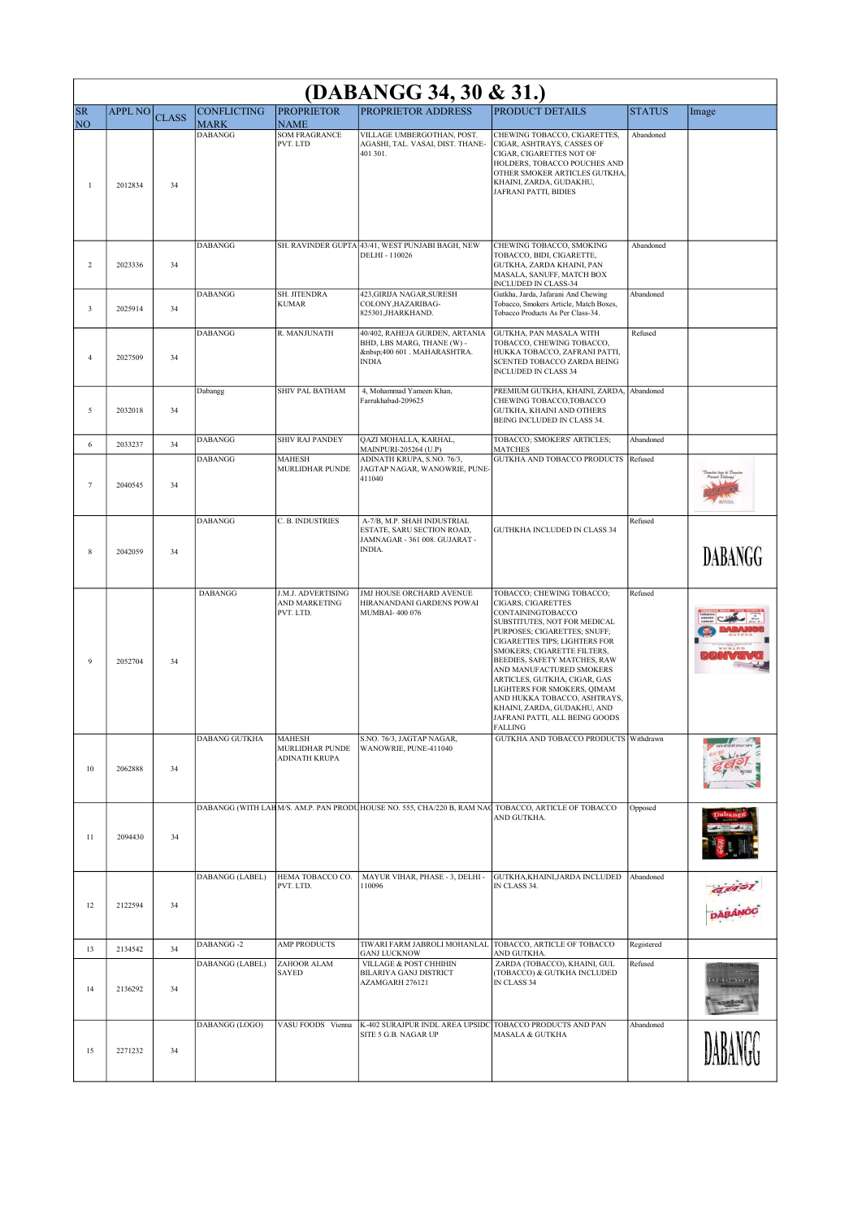| (DABANGG 34, 30 & 31.)      |                |              |                                   |                                                   |                                                                                                        |                                                                                                                                                                                                                                                                                                                                                                                                                                                    |               |          |
|-----------------------------|----------------|--------------|-----------------------------------|---------------------------------------------------|--------------------------------------------------------------------------------------------------------|----------------------------------------------------------------------------------------------------------------------------------------------------------------------------------------------------------------------------------------------------------------------------------------------------------------------------------------------------------------------------------------------------------------------------------------------------|---------------|----------|
| <b>SR</b><br>N <sub>O</sub> | <b>APPL NO</b> | <b>CLASS</b> | <b>CONFLICTING</b><br><b>MARK</b> | <b>PROPRIETOR</b><br><b>NAME</b>                  | <b>PROPRIETOR ADDRESS</b>                                                                              | <b>PRODUCT DETAILS</b>                                                                                                                                                                                                                                                                                                                                                                                                                             | <b>STATUS</b> | Image    |
| $\mathbf{1}$                | 2012834        | 34           | <b>DABANGG</b>                    | <b>SOM FRAGRANCE</b><br>PVT. LTD                  | VILLAGE UMBERGOTHAN, POST.<br>AGASHI, TAL. VASAI, DIST. THANE-<br>401 301.                             | CHEWING TOBACCO, CIGARETTES,<br>CIGAR, ASHTRAYS, CASSES OF<br>CIGAR, CIGARETTES NOT OF<br>HOLDERS, TOBACCO POUCHES AND<br>OTHER SMOKER ARTICLES GUTKHA,<br>KHAINI, ZARDA, GUDAKHU,<br>JAFRANI PATTI, BIDIES                                                                                                                                                                                                                                        | Abandoned     |          |
| 2                           | 2023336        | 34           | <b>DABANGG</b>                    |                                                   | SH. RAVINDER GUPTA 43/41, WEST PUNJABI BAGH, NEW<br>DELHI - 110026                                     | CHEWING TOBACCO, SMOKING<br>TOBACCO, BIDI, CIGARETTE,<br>GUTKHA, ZARDA KHAINI, PAN<br>MASALA, SANUFF, MATCH BOX<br><b>INCLUDED IN CLASS-34</b>                                                                                                                                                                                                                                                                                                     | Abandoned     |          |
| 3                           | 2025914        | 34           | <b>DABANGG</b>                    | SH. JITENDRA<br><b>KUMAR</b>                      | 423, GIRIJA NAGAR, SURESH<br>COLONY, HAZARIBAG-<br>825301, JHARKHAND.                                  | Gutkha, Jarda, Jafarani And Chewing<br>Tobacco, Smokers Article, Match Boxes,<br>Tobacco Products As Per Class-34.                                                                                                                                                                                                                                                                                                                                 | Abandoned     |          |
| $\overline{4}$              | 2027509        | 34           | <b>DABANGG</b>                    | R. MANJUNATH                                      | 40/402, RAHEJA GURDEN, ARTANIA<br>BHD, LBS MARG, THANE (W) -<br>400 601 . MAHARASHTRA.<br><b>INDIA</b> | GUTKHA, PAN MASALA WITH<br>TOBACCO, CHEWING TOBACCO,<br>HUKKA TOBACCO, ZAFRANI PATTI,<br>SCENTED TOBACCO ZARDA BEING<br><b>INCLUDED IN CLASS 34</b>                                                                                                                                                                                                                                                                                                | Refused       |          |
| 5                           | 2032018        | 34           | Dabangg                           | SHIV PAL BATHAM                                   | 4, Mohammad Yameen Khan,<br>Farrukhabad-209625                                                         | PREMIUM GUTKHA, KHAINI, ZARDA,<br>CHEWING TOBACCO, TOBACCO<br>GUTKHA, KHAINI AND OTHERS<br>BEING INCLUDED IN CLASS 34.                                                                                                                                                                                                                                                                                                                             | Abandoned     |          |
| 6                           | 2033237        | 34           | <b>DABANGG</b>                    | <b>SHIV RAJ PANDEY</b>                            | QAZI MOHALLA, KARHAL,<br>MAINPURI-205264 (U.P)                                                         | TOBACCO; SMOKERS' ARTICLES;<br><b>MATCHES</b>                                                                                                                                                                                                                                                                                                                                                                                                      | Abandoned     |          |
| $\tau$                      | 2040545        | 34           | <b>DABANGG</b>                    | MAHESH<br>MURLIDHAR PUNDE                         | ADINATH KRUPA, S.NO. 76/3,<br>JAGTAP NAGAR, WANOWRIE, PUNE-<br>411040                                  | <b>GUTKHA AND TOBACCO PRODUCTS</b>                                                                                                                                                                                                                                                                                                                                                                                                                 | Refused       |          |
| 8                           | 2042059        | 34           | <b>DABANGG</b>                    | C. B. INDUSTRIES                                  | A-7/B, M.P. SHAH INDUSTRIAL<br>ESTATE, SARU SECTION ROAD,<br>JAMNAGAR - 361 008. GUJARAT -<br>INDIA.   | GUTHKHA INCLUDED IN CLASS 34                                                                                                                                                                                                                                                                                                                                                                                                                       | Refused       | DABANGG  |
| 9                           | 2052704        | 34           | <b>DABANGG</b>                    | J.M.J. ADVERTISING<br>AND MARKETING<br>PVT. LTD.  | JMJ HOUSE ORCHARD AVENUE<br>HIRANANDANI GARDENS POWAI<br>MUMBAI-400 076                                | TOBACCO; CHEWING TOBACCO;<br><b>CIGARS; CIGARETTES</b><br>CONTAININGTOBACCO<br>SUBSTITUTES, NOT FOR MEDICAL<br>PURPOSES; CIGARETTES; SNUFF;<br>CIGARETTES TIPS; LIGHTERS FOR<br>SMOKERS; CIGARETTE FILTERS,<br>BEEDIES, SAFETY MATCHES, RAW<br>AND MANUFACTURED SMOKERS<br>ARTICLES, GUTKHA, CIGAR, GAS<br>LIGHTERS FOR SMOKERS, QIMAM<br>AND HUKKA TOBACCO, ASHTRAYS,<br>KHAINI, ZARDA, GUDAKHU, AND<br>JAFRANI PATTI, ALL BEING GOODS<br>FALLING | Refused       |          |
| 10                          | 2062888        | 34           | DABANG GUTKHA                     | MAHESH<br><b>MURLIDHAR PUNDE</b><br>ADINATH KRUPA | S.NO. 76/3, JAGTAP NAGAR,<br>WANOWRIE, PUNE-411040                                                     | <b>GUTKHA AND TOBACCO PRODUCTS</b>                                                                                                                                                                                                                                                                                                                                                                                                                 | Withdrawn     |          |
| 11                          | 2094430        | 34           |                                   |                                                   | DABANGG (WITH LAB M/S. AM.P. PAN PRODUHOUSE NO. 555, CHA/220 B, RAM NAC TOBACCO, ARTICLE OF TOBACCO    | AND GUTKHA.                                                                                                                                                                                                                                                                                                                                                                                                                                        | Opposed       |          |
| 12                          | 2122594        | 34           | DABANGG (LABEL)                   | HEMA TOBACCO CO.<br>PVT. LTD.                     | MAYUR VIHAR, PHASE - 3, DELHI -<br>110096                                                              | GUTKHA, KHAINI, JARDA INCLUDED<br>IN CLASS 34.                                                                                                                                                                                                                                                                                                                                                                                                     | Abandoned     |          |
| 13                          | 2134542        | 34           | <b>DABANGG-2</b>                  | <b>AMP PRODUCTS</b>                               | TIWARI FARM JABROLI MOHANLAL<br><b>GANJ LUCKNOW</b>                                                    | TOBACCO, ARTICLE OF TOBACCO<br>AND GUTKHA.                                                                                                                                                                                                                                                                                                                                                                                                         | Registered    |          |
| 14                          | 2136292        | 34           | DABANGG (LABEL)                   | ZAHOOR ALAM<br><b>SAYED</b>                       | VILLAGE & POST CHHIHIN<br>BILARIYA GANJ DISTRICT<br>AZAMGARH 276121                                    | ZARDA (TOBACCO), KHAINI, GUL<br>(TOBACCO) & GUTKHA INCLUDED<br>IN CLASS 34                                                                                                                                                                                                                                                                                                                                                                         | Refused       | p. burry |
| 15                          | 2271232        | 34           | DABANGG (LOGO)                    | VASU FOODS Vienna                                 | K-402 SURAJPUR INDL AREA UPSIDC<br>SITE 5 G.B. NAGAR UP                                                | TOBACCO PRODUCTS AND PAN<br>MASALA & GUTKHA                                                                                                                                                                                                                                                                                                                                                                                                        | Abandoned     |          |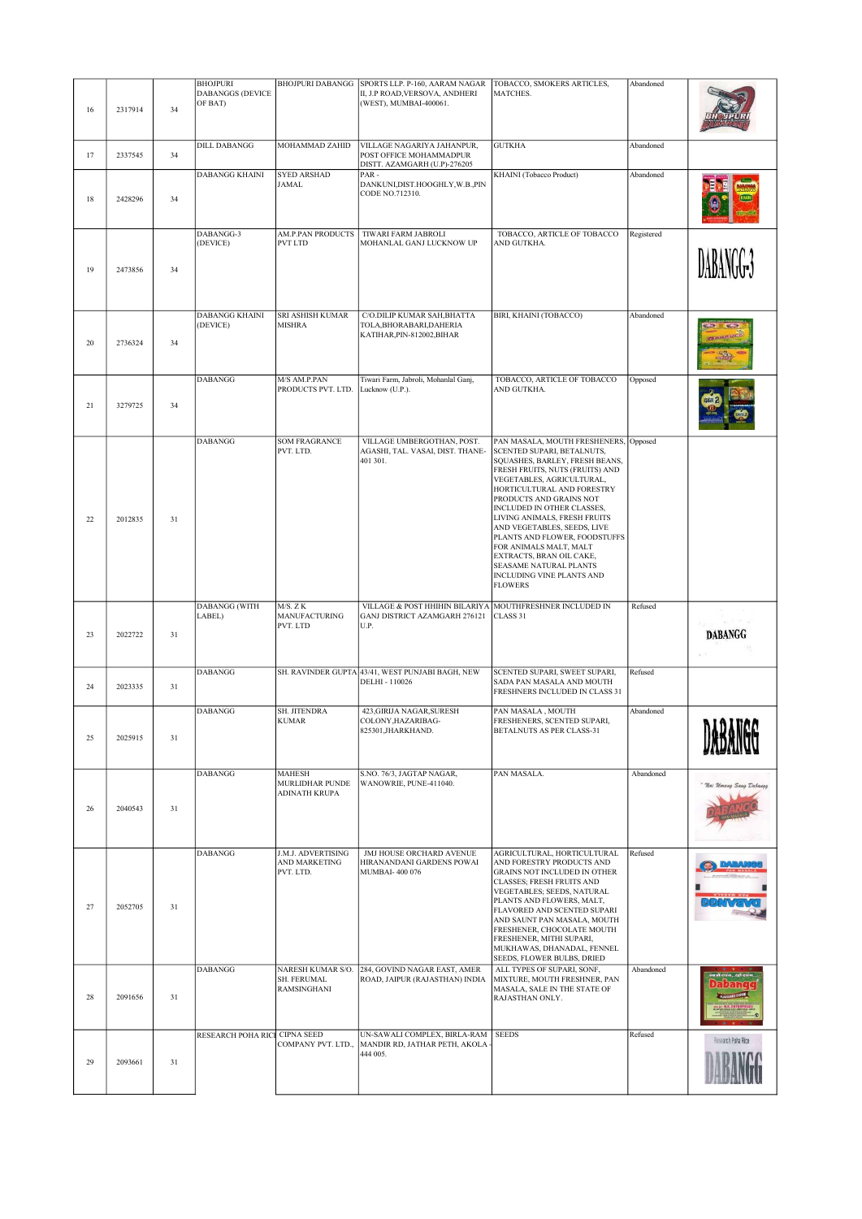| 16 | 2317914 | 34 | <b>BHOJPURI</b><br><b>DABANGGS (DEVICE</b><br>OF BAT) | <b>BHOJPURI DABANGG</b>                                       | SPORTS LLP. P-160, AARAM NAGAR<br>II, J.P ROAD, VERSOVA, ANDHERI<br>(WEST), MUMBAI-400061.        | TOBACCO, SMOKERS ARTICLES,<br>MATCHES.                                                                                                                                                                                                                                                                                                                                                                                                                                              | Abandoned  |                        |
|----|---------|----|-------------------------------------------------------|---------------------------------------------------------------|---------------------------------------------------------------------------------------------------|-------------------------------------------------------------------------------------------------------------------------------------------------------------------------------------------------------------------------------------------------------------------------------------------------------------------------------------------------------------------------------------------------------------------------------------------------------------------------------------|------------|------------------------|
| 17 | 2337545 | 34 | <b>DILL DABANGG</b>                                   | MOHAMMAD ZAHID                                                | VILLAGE NAGARIYA JAHANPUR,<br>POST OFFICE MOHAMMADPUR<br>DISTT. AZAMGARH (U.P)-276205             | <b>GUTKHA</b>                                                                                                                                                                                                                                                                                                                                                                                                                                                                       | Abandoned  |                        |
| 18 | 2428296 | 34 | <b>DABANGG KHAINI</b>                                 | <b>SYED ARSHAD</b><br><b>JAMAL</b>                            | PAR-<br>DANKUNI, DIST.HOOGHLY, W.B., PIN<br>CODE NO.712310.                                       | KHAINI (Tobacco Product)                                                                                                                                                                                                                                                                                                                                                                                                                                                            | Abandoned  |                        |
| 19 | 2473856 | 34 | DABANGG-3<br>(DEVICE)                                 | <b>AM.P.PAN PRODUCTS</b><br><b>PVT LTD</b>                    | TIWARI FARM JABROLI<br>MOHANLAL GANJ LUCKNOW UP                                                   | TOBACCO, ARTICLE OF TOBACCO<br>AND GUTKHA.                                                                                                                                                                                                                                                                                                                                                                                                                                          | Registered |                        |
| 20 | 2736324 | 34 | <b>DABANGG KHAINI</b><br>(DEVICE)                     | SRI ASHISH KUMAR<br><b>MISHRA</b>                             | C/O.DILIP KUMAR SAH, BHATTA<br>TOLA, BHORABARI, DAHERIA<br>KATIHAR, PIN-812002, BIHAR             | BIRI, KHAINI (TOBACCO)                                                                                                                                                                                                                                                                                                                                                                                                                                                              | Abandoned  |                        |
| 21 | 3279725 | 34 | <b>DABANGG</b>                                        | M/S AM.P.PAN<br>PRODUCTS PVT. LTD.                            | Tiwari Farm, Jabroli, Mohanlal Ganj,<br>Lucknow (U.P.).                                           | TOBACCO, ARTICLE OF TOBACCO<br>AND GUTKHA.                                                                                                                                                                                                                                                                                                                                                                                                                                          | Opposed    |                        |
| 22 | 2012835 | 31 | <b>DABANGG</b>                                        | <b>SOM FRAGRANCE</b><br>PVT. LTD.                             | VILLAGE UMBERGOTHAN, POST.<br>AGASHI, TAL. VASAI, DIST. THANE-<br>401 301.                        | PAN MASALA, MOUTH FRESHENERS,<br>SCENTED SUPARI, BETALNUTS,<br>SQUASHES, BARLEY, FRESH BEANS,<br>FRESH FRUITS, NUTS (FRUITS) AND<br>VEGETABLES, AGRICULTURAL,<br>HORTICULTURAL AND FORESTRY<br>PRODUCTS AND GRAINS NOT<br>INCLUDED IN OTHER CLASSES,<br>LIVING ANIMALS, FRESH FRUITS<br>AND VEGETABLES, SEEDS, LIVE<br>PLANTS AND FLOWER, FOODSTUFFS<br>FOR ANIMALS MALT, MALT<br>EXTRACTS, BRAN OIL CAKE,<br>SEASAME NATURAL PLANTS<br>INCLUDING VINE PLANTS AND<br><b>FLOWERS</b> | Opposed    |                        |
| 23 | 2022722 | 31 | <b>DABANGG</b> (WITH<br>LABEL)                        | M/S. ZK<br><b>MANUFACTURING</b><br>PVT. LTD                   | VILLAGE & POST HHIHIN BILARIYA MOUTHFRESHNER INCLUDED IN<br>GANJ DISTRICT AZAMGARH 276121<br>U.P. | CLASS 31                                                                                                                                                                                                                                                                                                                                                                                                                                                                            | Refused    | <b>DABANGG</b>         |
| 24 | 2023335 | 31 | <b>DABANGG</b>                                        |                                                               | SH. RAVINDER GUPTA 43/41, WEST PUNJABI BAGH, NEW<br>DELHI - 110026                                | SCENTED SUPARI, SWEET SUPARI,<br>SADA PAN MASALA AND MOUTH<br>FRESHNERS INCLUDED IN CLASS 31                                                                                                                                                                                                                                                                                                                                                                                        | Refused    |                        |
| 25 | 2025915 | 31 | <b>DABANGG</b>                                        | <b>SH. JITENDRA</b><br><b>KUMAR</b>                           | 423, GIRIJA NAGAR, SURESH<br>COLONY, HAZARIBAG-<br>825301, JHARKHAND.                             | PAN MASALA, MOUTH<br>FRESHENERS, SCENTED SUPARI,<br>BETALNUTS AS PER CLASS-31                                                                                                                                                                                                                                                                                                                                                                                                       | Abandoned  | RIAINAA                |
| 26 | 2040543 | 31 | <b>DABANGG</b>                                        | <b>MAHESH</b><br><b>MURLIDHAR PUNDE</b><br>ADINATH KRUPA      | S.NO. 76/3, JAGTAP NAGAR,<br>WANOWRIE, PUNE-411040.                                               | PAN MASALA.                                                                                                                                                                                                                                                                                                                                                                                                                                                                         | Abandoned  | Nai Umang Sang Dabangi |
| 27 | 2052705 | 31 | DABANGG                                               | J.M.J. ADVERTISING<br>AND MARKETING<br>PVT. LTD.              | JMJ HOUSE ORCHARD AVENUE<br>HIRANANDANI GARDENS POWAI<br><b>MUMBAI-400 076</b>                    | AGRICULTURAL, HORTICULTURAL<br>AND FORESTRY PRODUCTS AND<br>GRAINS NOT INCLUDED IN OTHER<br><b>CLASSES; FRESH FRUITS AND</b><br>VEGETABLES; SEEDS, NATURAL<br>PLANTS AND FLOWERS, MALT,<br>FLAVORED AND SCENTED SUPARI<br>AND SAUNT PAN MASALA, MOUTH<br>FRESHENER, CHOCOLATE MOUTH<br>FRESHENER, MITHI SUPARI,<br>MUKHAWAS, DHANADAL, FENNEL<br>SEEDS, FLOWER BULBS, DRIED                                                                                                         | Refused    |                        |
| 28 | 2091656 | 31 | <b>DABANGG</b>                                        | NARESH KUMAR S/O.<br><b>SH. FERUMAL</b><br><b>RAMSINGHANI</b> | 284, GOVIND NAGAR EAST, AMER<br>ROAD, JAIPUR (RAJASTHAN) INDIA                                    | ALL TYPES OF SUPARI, SONF,<br>MIXTURE, MOUTH FRESHNER, PAN<br>MASALA, SALE IN THE STATE OF<br>RAJASTHAN ONLY.                                                                                                                                                                                                                                                                                                                                                                       | Abandoned  |                        |
| 29 | 2093661 | 31 | RESEARCH POHA RICI CIPNA SEED                         | COMPANY PVT. LTD.,                                            | UN-SAWALI COMPLEX, BIRLA-RAM<br>MANDIR RD, JATHAR PETH, AKOLA<br>444 005.                         | <b>SEEDS</b>                                                                                                                                                                                                                                                                                                                                                                                                                                                                        | Refused    | Research Poha Rice     |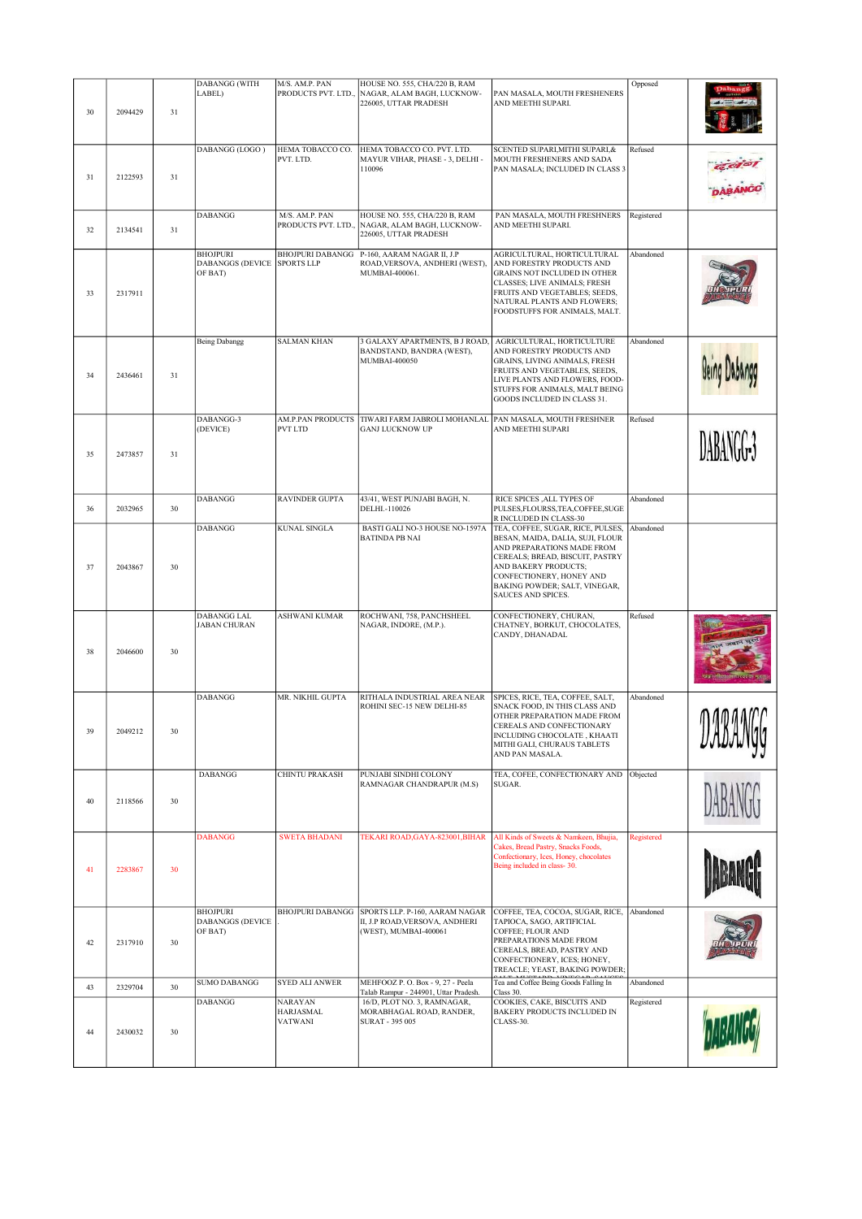| 30 | 2094429 | 31 | <b>DABANGG (WITH</b><br>LABEL)                        | M/S. AM.P. PAN<br>PRODUCTS PVT. LTD.,                | HOUSE NO. 555, CHA/220 B, RAM<br>NAGAR, ALAM BAGH, LUCKNOW-<br>226005, UTTAR PRADESH            | PAN MASALA, MOUTH FRESHENERS<br>AND MEETHI SUPARI.                                                                                                                                                                                                | Opposed    |                      |
|----|---------|----|-------------------------------------------------------|------------------------------------------------------|-------------------------------------------------------------------------------------------------|---------------------------------------------------------------------------------------------------------------------------------------------------------------------------------------------------------------------------------------------------|------------|----------------------|
| 31 | 2122593 | 31 | DABANGG (LOGO)                                        | HEMA TOBACCO CO.<br>PVT. LTD.                        | HEMA TOBACCO CO. PVT. LTD.<br>MAYUR VIHAR, PHASE - 3, DELHI -<br>110096                         | SCENTED SUPARI, MITHI SUPARI, &<br>MOUTH FRESHENERS AND SADA<br>PAN MASALA; INCLUDED IN CLASS 3                                                                                                                                                   | Refused    |                      |
| 32 | 2134541 | 31 | <b>DABANGG</b>                                        | M/S. AM.P. PAN<br>PRODUCTS PVT. LTD.,                | HOUSE NO. 555, CHA/220 B, RAM<br>NAGAR, ALAM BAGH, LUCKNOW-<br>226005, UTTAR PRADESH            | PAN MASALA, MOUTH FRESHNERS<br>AND MEETHI SUPARI.                                                                                                                                                                                                 | Registered |                      |
| 33 | 2317911 |    | <b>BHOJPURI</b><br><b>DABANGGS (DEVICE</b><br>OF BAT) | <b>SPORTS LLP</b>                                    | BHOJPURI DABANGG P-160, AARAM NAGAR II, J.P<br>ROAD, VERSOVA, ANDHERI (WEST),<br>MUMBAI-400061. | AGRICULTURAL, HORTICULTURAL<br>AND FORESTRY PRODUCTS AND<br>GRAINS NOT INCLUDED IN OTHER<br>CLASSES; LIVE ANIMALS; FRESH<br>FRUITS AND VEGETABLES; SEEDS,<br>NATURAL PLANTS AND FLOWERS;<br>FOODSTUFFS FOR ANIMALS, MALT.                         | Abandoned  |                      |
| 34 | 2436461 | 31 | <b>Being Dabangg</b>                                  | <b>SALMAN KHAN</b>                                   | 3 GALAXY APARTMENTS, B J ROAD,<br>BANDSTAND, BANDRA (WEST),<br>MUMBAI-400050                    | AGRICULTURAL, HORTICULTURE<br>AND FORESTRY PRODUCTS AND<br>GRAINS, LIVING ANIMALS, FRESH<br>FRUITS AND VEGETABLES, SEEDS,<br>LIVE PLANTS AND FLOWERS, FOOD-<br>STUFFS FOR ANIMALS, MALT BEING<br>GOODS INCLUDED IN CLASS 31.                      | Abandoned  |                      |
| 35 | 2473857 | 31 | DABANGG-3<br>(DEVICE)                                 | AM.P.PAN PRODUCTS<br><b>PVT LTD</b>                  | TIWARI FARM JABROLI MOHANLAL<br><b>GANJ LUCKNOW UP</b>                                          | PAN MASALA, MOUTH FRESHNER<br>AND MEETHI SUPARI                                                                                                                                                                                                   | Refused    | DABANGG <sup>3</sup> |
| 36 | 2032965 | 30 | <b>DABANGG</b>                                        | <b>RAVINDER GUPTA</b>                                | 43/41, WEST PUNJABI BAGH, N.<br>DELHI.-110026                                                   | RICE SPICES , ALL TYPES OF<br>PULSES, FLOURSS, TEA, COFFEE, SUGE<br>R INCLUDED IN CLASS-30                                                                                                                                                        | Abandoned  |                      |
| 37 | 2043867 | 30 | DABANGG                                               | <b>KUNAL SINGLA</b>                                  | BASTI GALI NO-3 HOUSE NO-1597A<br><b>BATINDA PB NAI</b>                                         | TEA, COFFEE, SUGAR, RICE, PULSES,<br>BESAN, MAIDA, DALIA, SUJI, FLOUR<br>AND PREPARATIONS MADE FROM<br>CEREALS; BREAD, BISCUIT, PASTRY<br>AND BAKERY PRODUCTS;<br>CONFECTIONERY, HONEY AND<br>BAKING POWDER; SALT, VINEGAR,<br>SAUCES AND SPICES. | Abandoned  |                      |
| 38 | 2046600 | 30 | <b>DABANGG LAL</b><br><b>JABAN CHURAN</b>             | <b>ASHWANI KUMAR</b>                                 | ROCHWANI, 758, PANCHSHEEL<br>NAGAR, INDORE, (M.P.).                                             | CONFECTIONERY, CHURAN,<br>CHATNEY, BORKUT, CHOCOLATES,<br>CANDY, DHANADAL                                                                                                                                                                         | Refused    |                      |
| 39 | 2049212 | 30 | <b>DABANGG</b>                                        | MR. NIKHIL GUPTA                                     | RITHALA INDUSTRIAL AREA NEAR<br>ROHINI SEC-15 NEW DELHI-85                                      | SPICES, RICE, TEA, COFFEE, SALT,<br>SNACK FOOD, IN THIS CLASS AND<br>OTHER PREPARATION MADE FROM<br>CEREALS AND CONFECTIONARY<br>INCLUDING CHOCOLATE, KHAATI<br>MITHI GALI, CHURAUS TABLETS<br>AND PAN MASALA.                                    | Abandoned  | napaarr<br>LLADAVIYY |
| 40 | 2118566 | 30 | <b>DABANGG</b>                                        | <b>CHINTU PRAKASH</b>                                | PUNJABI SINDHI COLONY<br>RAMNAGAR CHANDRAPUR (M.S)                                              | TEA, COFEE, CONFECTIONARY AND<br>SUGAR.                                                                                                                                                                                                           | Objected   |                      |
| 41 | 2283867 | 30 | <b>DABANGG</b>                                        | <b>SWETA BHADANI</b>                                 | TEKARI ROAD, GAYA-823001, BIHAR                                                                 | All Kinds of Sweets & Namkeen, Bhujia,<br>Cakes, Bread Pastry, Snacks Foods,<br>Confectionary, Ices, Honey, chocolates<br>Being included in class-30.                                                                                             | Registered |                      |
| 42 | 2317910 | 30 | <b>BHOJPURI</b><br><b>DABANGGS (DEVICE</b><br>OF BAT) | <b>BHOJPURI DABANGG</b>                              | SPORTS LLP. P-160, AARAM NAGAR<br>II, J.P ROAD, VERSOVA, ANDHERI<br>(WEST), MUMBAI-400061       | COFFEE, TEA, COCOA, SUGAR, RICE,<br>TAPIOCA, SAGO, ARTIFICIAL<br>COFFEE; FLOUR AND<br>PREPARATIONS MADE FROM<br>CEREALS, BREAD, PASTRY AND<br>CONFECTIONERY, ICES; HONEY,<br>TREACLE; YEAST, BAKING POWDER;                                       | Abandoned  |                      |
| 43 | 2329704 | 30 | <b>SUMO DABANGG</b>                                   | <b>SYED ALI ANWER</b>                                | MEHFOOZ P.O. Box - 9, 27 - Peela<br>Talab Rampur - 244901, Uttar Pradesh.                       | Tea and Coffee Being Goods Falling In<br>Class 30.                                                                                                                                                                                                | Abandoned  |                      |
| 44 | 2430032 | 30 | <b>DABANGG</b>                                        | <b>NARAYAN</b><br><b>HARJASMAL</b><br><b>VATWANI</b> | 16/D, PLOT NO. 3, RAMNAGAR,<br>MORABHAGAL ROAD, RANDER,<br>SURAT - 395 005                      | COOKIES, CAKE, BISCUITS AND<br><b>BAKERY PRODUCTS INCLUDED IN</b><br>CLASS-30.                                                                                                                                                                    | Registered |                      |